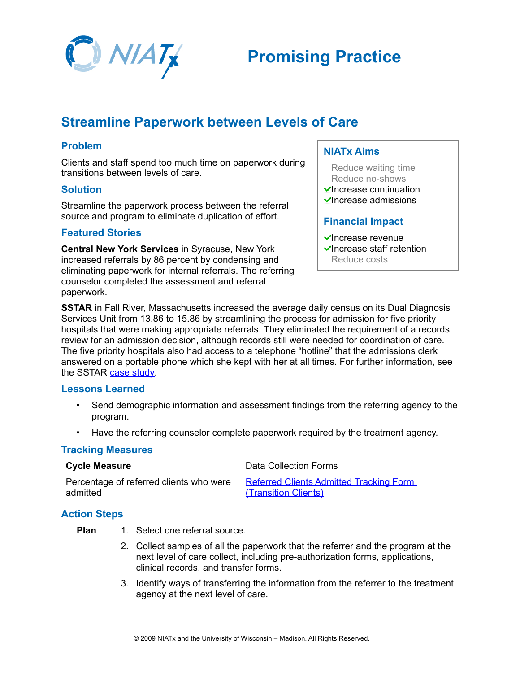

# **Promising Practice**

# **Streamline Paperwork between Levels of Care**

# **Problem**

Clients and staff spend too much time on paperwork during transitions between levels of care.

#### **Solution**

Streamline the paperwork process between the referral source and program to eliminate duplication of effort.

## **Featured Stories**

**Central New York Services** in Syracuse, New York increased referrals by 86 percent by condensing and eliminating paperwork for internal referrals. The referring counselor completed the assessment and referral paperwork.

## **NIATx Aims**

- Reduce waiting time Reduce no-shows
- $\checkmark$ Increase continuation
- $\blacktriangleright$ Increase admissions

## **Financial Impact**

- $\checkmark$ Increase revenue  $\checkmark$  Increase staff retention
- Reduce costs

**SSTAR** in Fall River, Massachusetts increased the average daily census on its Dual Diagnosis Services Unit from 13.86 to 15.86 by streamlining the process for admission for five priority hospitals that were making appropriate referrals. They eliminated the requirement of a records review for an admission decision, although records still were needed for coordination of care. The five priority hospitals also had access to a telephone "hotline" that the admissions clerk answered on a portable phone which she kept with her at all times. For further information, see the SSTAR [case study.](http://www.niatx.net/PDF/PIPractice/CaseStudies/SSTAR_Admissions_031006.pdf)

## **Lessons Learned**

- Send demographic information and assessment findings from the referring agency to the program.
- Have the referring counselor complete paperwork required by the treatment agency.

#### **Tracking Measures**

| <b>Cycle Measure</b>                    | Data Collection Forms                          |
|-----------------------------------------|------------------------------------------------|
| Percentage of referred clients who were | <b>Referred Clients Admitted Tracking Form</b> |
| admitted                                | (Transition Clients)                           |

## **Action Steps**

- **Plan** 1. Select one referral source.
	- 2. Collect samples of all the paperwork that the referrer and the program at the next level of care collect, including pre-authorization forms, applications, clinical records, and transfer forms.
	- 3. Identify ways of transferring the information from the referrer to the treatment agency at the next level of care.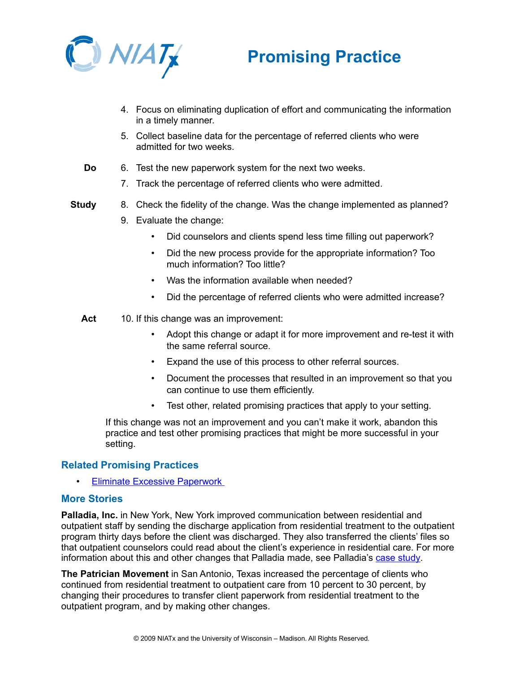



- 4. Focus on eliminating duplication of effort and communicating the information in a timely manner.
- 5. Collect baseline data for the percentage of referred clients who were admitted for two weeks.
- **Do** 6. Test the new paperwork system for the next two weeks.
	- 7. Track the percentage of referred clients who were admitted.
- **Study** 8. Check the fidelity of the change. Was the change implemented as planned?
	- 9. Evaluate the change:
		- Did counselors and clients spend less time filling out paperwork?
		- Did the new process provide for the appropriate information? Too much information? Too little?
		- Was the information available when needed?
		- Did the percentage of referred clients who were admitted increase?

Act 10. If this change was an improvement:

- Adopt this change or adapt it for more improvement and re-test it with the same referral source.
- Expand the use of this process to other referral sources.
- Document the processes that resulted in an improvement so that you can continue to use them efficiently.
- Test other, related promising practices that apply to your setting.

If this change was not an improvement and you can't make it work, abandon this practice and test other promising practices that might be more successful in your setting.

#### **Related Promising Practices**

**Eliminate Excessive Paperwork** 

#### **More Stories**

**Palladia, Inc.** in New York, New York improved communication between residential and outpatient staff by sending the discharge application from residential treatment to the outpatient program thirty days before the client was discharged. They also transferred the clients' files so that outpatient counselors could read about the client's experience in residential care. For more information about this and other changes that Palladia made, see Palladia's [case study.](http://www.niatx.net/PDF/PIPractice/CaseStudies/Palladia_Continuation_031006.pdf)

**The Patrician Movement** in San Antonio, Texas increased the percentage of clients who continued from residential treatment to outpatient care from 10 percent to 30 percent, by changing their procedures to transfer client paperwork from residential treatment to the outpatient program, and by making other changes.